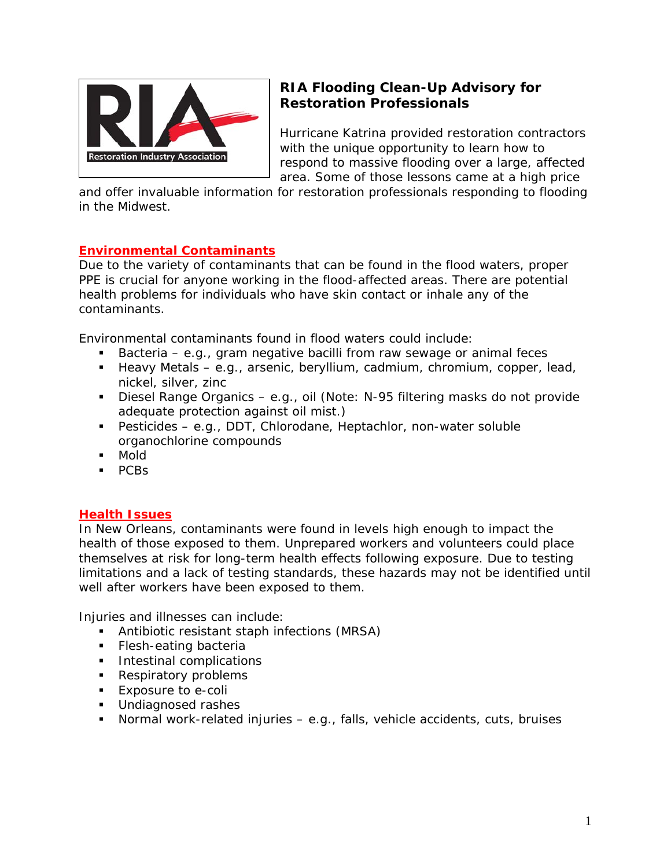

# **RIA Flooding Clean-Up Advisory for Restoration Professionals**

Hurricane Katrina provided restoration contractors with the unique opportunity to learn how to respond to massive flooding over a large, affected area. Some of those lessons came at a high price

and offer invaluable information for restoration professionals responding to flooding in the Midwest.

# **Environmental Contaminants**

Due to the variety of contaminants that can be found in the flood waters, proper PPE is crucial for anyone working in the flood-affected areas. There are potential health problems for individuals who have skin contact or inhale any of the contaminants.

Environmental contaminants found in flood waters could include:

- Bacteria e.g., gram negative bacilli from raw sewage or animal feces
- Heavy Metals e.g., arsenic, beryllium, cadmium, chromium, copper, lead, nickel, silver, zinc
- Diesel Range Organics e.g., oil (Note: N-95 filtering masks do not provide adequate protection against oil mist.)
- Pesticides e.g., DDT, Chlorodane, Heptachlor, non-water soluble organochlorine compounds
- Mold
- $PCBs$

# **Health Issues**

In New Orleans, contaminants were found in levels high enough to impact the health of those exposed to them. Unprepared workers and volunteers could place themselves at risk for long-term health effects following exposure. Due to testing limitations and a lack of testing standards, these hazards may not be identified until well after workers have been exposed to them.

Injuries and illnesses can include:

- Antibiotic resistant staph infections (MRSA)
- **Flesh-eating bacteria**
- **Intestinal complications**
- **Respiratory problems**
- **Exposure to e-coli**
- **Undiagnosed rashes**
- Normal work-related injuries e.g., falls, vehicle accidents, cuts, bruises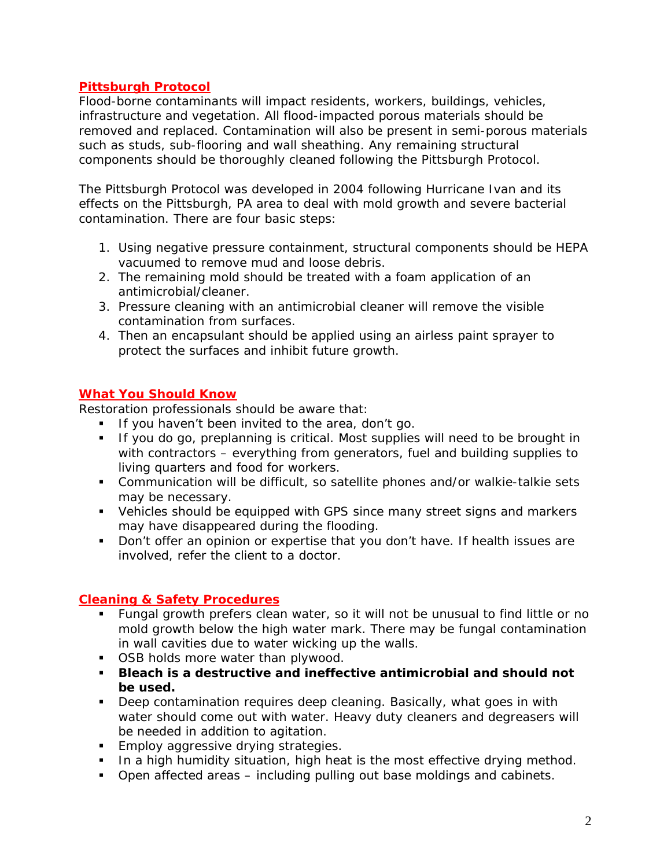# **Pittsburgh Protocol**

Flood-borne contaminants will impact residents, workers, buildings, vehicles, infrastructure and vegetation. All flood-impacted porous materials should be removed and replaced. Contamination will also be present in semi-porous materials such as studs, sub-flooring and wall sheathing. Any remaining structural components should be thoroughly cleaned following the Pittsburgh Protocol.

The Pittsburgh Protocol was developed in 2004 following Hurricane Ivan and its effects on the Pittsburgh, PA area to deal with mold growth and severe bacterial contamination. There are four basic steps:

- 1. Using negative pressure containment, structural components should be HEPA vacuumed to remove mud and loose debris.
- 2. The remaining mold should be treated with a foam application of an antimicrobial/cleaner.
- 3. Pressure cleaning with an antimicrobial cleaner will remove the visible contamination from surfaces.
- 4. Then an encapsulant should be applied using an airless paint sprayer to protect the surfaces and inhibit future growth.

#### **What You Should Know**

Restoration professionals should be aware that:

- If you haven't been invited to the area, don't go.
- If you do go, preplanning is critical. Most supplies will need to be brought in with contractors – everything from generators, fuel and building supplies to living quarters and food for workers.
- Communication will be difficult, so satellite phones and/or walkie-talkie sets may be necessary.
- Vehicles should be equipped with GPS since many street signs and markers may have disappeared during the flooding.
- Don't offer an opinion or expertise that you don't have. If health issues are involved, refer the client to a doctor.

# **Cleaning & Safety Procedures**

- Fungal growth prefers clean water, so it will not be unusual to find little or no mold growth below the high water mark. There may be fungal contamination in wall cavities due to water wicking up the walls.
- **OSB holds more water than plywood.**
- **Bleach is a destructive and ineffective antimicrobial and should not be used.**
- Deep contamination requires deep cleaning. Basically, what goes in with water should come out with water. Heavy duty cleaners and degreasers will be needed in addition to agitation.
- **Employ aggressive drying strategies.**
- In a high humidity situation, high heat is the most effective drying method.
- Open affected areas including pulling out base moldings and cabinets.